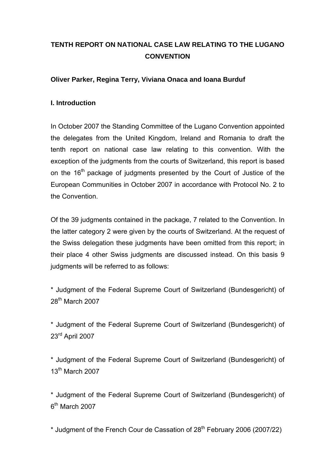# **TENTH REPORT ON NATIONAL CASE LAW RELATING TO THE LUGANO CONVENTION**

## **Oliver Parker, Regina Terry, Viviana Onaca and Ioana Burduf**

## **I. Introduction**

In October 2007 the Standing Committee of the Lugano Convention appointed the delegates from the United Kingdom, Ireland and Romania to draft the tenth report on national case law relating to this convention. With the exception of the judgments from the courts of Switzerland, this report is based on the 16<sup>th</sup> package of judgments presented by the Court of Justice of the European Communities in October 2007 in accordance with Protocol No. 2 to the Convention.

Of the 39 judgments contained in the package, 7 related to the Convention. In the latter category 2 were given by the courts of Switzerland. At the request of the Swiss delegation these judgments have been omitted from this report; in their place 4 other Swiss judgments are discussed instead. On this basis 9 judgments will be referred to as follows:

\* Judgment of the Federal Supreme Court of Switzerland (Bundesgericht) of 28th March 2007

\* Judgment of the Federal Supreme Court of Switzerland (Bundesgericht) of 23rd April 2007

\* Judgment of the Federal Supreme Court of Switzerland (Bundesgericht) of 13<sup>th</sup> March 2007

\* Judgment of the Federal Supreme Court of Switzerland (Bundesgericht) of  $6<sup>th</sup>$  March 2007

\* Judgment of the French Cour de Cassation of 28th February 2006 (2007/22)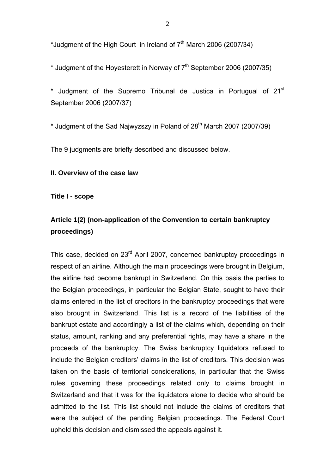\*Judgment of the High Court in Ireland of  $7<sup>th</sup>$  March 2006 (2007/34)

\* Judgment of the Hoyesterett in Norway of  $7<sup>th</sup>$  September 2006 (2007/35)

 $*$  Judgment of the Supremo Tribunal de Justica in Portugual of 21 $\mathrm{^{st}}$ September 2006 (2007/37)

\* Judament of the Sad Najwyzszy in Poland of  $28<sup>th</sup>$  March 2007 (2007/39)

The 9 judgments are briefly described and discussed below.

### **II. Overview of the case law**

**Title I - scope** 

## **Article 1(2) (non-application of the Convention to certain bankruptcy proceedings)**

This case, decided on 23<sup>rd</sup> April 2007, concerned bankruptcy proceedings in respect of an airline. Although the main proceedings were brought in Belgium, the airline had become bankrupt in Switzerland. On this basis the parties to the Belgian proceedings, in particular the Belgian State, sought to have their claims entered in the list of creditors in the bankruptcy proceedings that were also brought in Switzerland. This list is a record of the liabilities of the bankrupt estate and accordingly a list of the claims which, depending on their status, amount, ranking and any preferential rights, may have a share in the proceeds of the bankruptcy. The Swiss bankruptcy liquidators refused to include the Belgian creditors' claims in the list of creditors. This decision was taken on the basis of territorial considerations, in particular that the Swiss rules governing these proceedings related only to claims brought in Switzerland and that it was for the liquidators alone to decide who should be admitted to the list. This list should not include the claims of creditors that were the subject of the pending Belgian proceedings. The Federal Court upheld this decision and dismissed the appeals against it.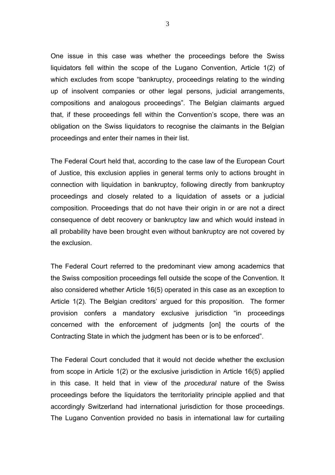One issue in this case was whether the proceedings before the Swiss liquidators fell within the scope of the Lugano Convention, Article 1(2) of which excludes from scope "bankruptcy, proceedings relating to the winding up of insolvent companies or other legal persons, judicial arrangements, compositions and analogous proceedings". The Belgian claimants argued that, if these proceedings fell within the Convention's scope, there was an obligation on the Swiss liquidators to recognise the claimants in the Belgian proceedings and enter their names in their list.

The Federal Court held that, according to the case law of the European Court of Justice, this exclusion applies in general terms only to actions brought in connection with liquidation in bankruptcy, following directly from bankruptcy proceedings and closely related to a liquidation of assets or a judicial composition. Proceedings that do not have their origin in or are not a direct consequence of debt recovery or bankruptcy law and which would instead in all probability have been brought even without bankruptcy are not covered by the exclusion.

The Federal Court referred to the predominant view among academics that the Swiss composition proceedings fell outside the scope of the Convention. It also considered whether Article 16(5) operated in this case as an exception to Article 1(2). The Belgian creditors' argued for this proposition. The former provision confers a mandatory exclusive jurisdiction "in proceedings concerned with the enforcement of judgments [on] the courts of the Contracting State in which the judgment has been or is to be enforced".

The Federal Court concluded that it would not decide whether the exclusion from scope in Article 1(2) or the exclusive jurisdiction in Article 16(5) applied in this case. It held that in view of the *procedural* nature of the Swiss proceedings before the liquidators the territoriality principle applied and that accordingly Switzerland had international jurisdiction for those proceedings. The Lugano Convention provided no basis in international law for curtailing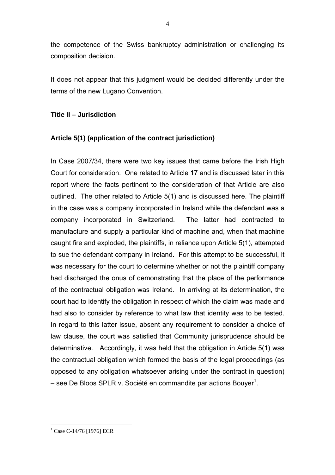the competence of the Swiss bankruptcy administration or challenging its composition decision.

It does not appear that this judgment would be decided differently under the terms of the new Lugano Convention.

## **Title II – Jurisdiction**

## **Article 5(1) (application of the contract jurisdiction)**

In Case 2007/34, there were two key issues that came before the Irish High Court for consideration. One related to Article 17 and is discussed later in this report where the facts pertinent to the consideration of that Article are also outlined. The other related to Article 5(1) and is discussed here. The plaintiff in the case was a company incorporated in Ireland while the defendant was a company incorporated in Switzerland. The latter had contracted to manufacture and supply a particular kind of machine and, when that machine caught fire and exploded, the plaintiffs, in reliance upon Article 5(1), attempted to sue the defendant company in Ireland. For this attempt to be successful, it was necessary for the court to determine whether or not the plaintiff company had discharged the onus of demonstrating that the place of the performance of the contractual obligation was Ireland. In arriving at its determination, the court had to identify the obligation in respect of which the claim was made and had also to consider by reference to what law that identity was to be tested. In regard to this latter issue, absent any requirement to consider a choice of law clause, the court was satisfied that Community jurisprudence should be determinative. Accordingly, it was held that the obligation in Article 5(1) was the contractual obligation which formed the basis of the legal proceedings (as opposed to any obligation whatsoever arising under the contract in question) – see De Bloos SPLR v. Société en commandite par actions Bouyer<sup>1</sup>.

<sup>&</sup>lt;sup>1</sup> Case C-14/76 [1976] ECR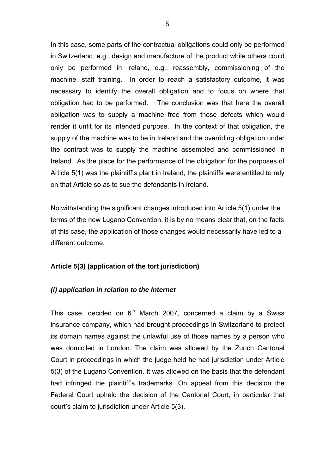In this case, some parts of the contractual obligations could only be performed in Switzerland, e.g., design and manufacture of the product while others could only be performed in Ireland, e.g., reassembly, commissioning of the machine, staff training. In order to reach a satisfactory outcome, it was necessary to identify the overall obligation and to focus on where that obligation had to be performed. The conclusion was that here the overall obligation was to supply a machine free from those defects which would render it unfit for its intended purpose. In the context of that obligation, the supply of the machine was to be in Ireland and the overriding obligation under the contract was to supply the machine assembled and commissioned in Ireland. As the place for the performance of the obligation for the purposes of Article 5(1) was the plaintiff's plant in Ireland, the plaintiffs were entitled to rely on that Article so as to sue the defendants in Ireland.

Notwithstanding the significant changes introduced into Article 5(1) under the terms of the new Lugano Convention, it is by no means clear that, on the facts of this case, the application of those changes would necessarily have led to a different outcome.

#### **Article 5(3) (application of the tort jurisdiction)**

#### *(i) application in relation to the Internet*

This case, decided on  $6<sup>th</sup>$  March 2007, concerned a claim by a Swiss insurance company, which had brought proceedings in Switzerland to protect its domain names against the unlawful use of those names by a person who was domiciled in London. The claim was allowed by the Zurich Cantonal Court in proceedings in which the judge held he had jurisdiction under Article 5(3) of the Lugano Convention. It was allowed on the basis that the defendant had infringed the plaintiff's trademarks. On appeal from this decision the Federal Court upheld the decision of the Cantonal Court, in particular that court's claim to jurisdiction under Article 5(3).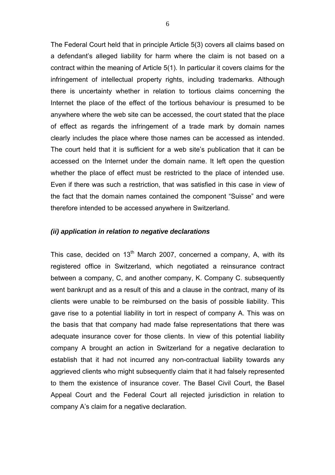The Federal Court held that in principle Article 5(3) covers all claims based on a defendant's alleged liability for harm where the claim is not based on a contract within the meaning of Article 5(1). In particular it covers claims for the infringement of intellectual property rights, including trademarks. Although there is uncertainty whether in relation to tortious claims concerning the Internet the place of the effect of the tortious behaviour is presumed to be anywhere where the web site can be accessed, the court stated that the place of effect as regards the infringement of a trade mark by domain names clearly includes the place where those names can be accessed as intended. The court held that it is sufficient for a web site's publication that it can be accessed on the Internet under the domain name. It left open the question whether the place of effect must be restricted to the place of intended use. Even if there was such a restriction, that was satisfied in this case in view of the fact that the domain names contained the component "Suisse" and were therefore intended to be accessed anywhere in Switzerland.

#### *(ii) application in relation to negative declarations*

This case, decided on  $13<sup>th</sup>$  March 2007, concerned a company, A, with its registered office in Switzerland, which negotiated a reinsurance contract between a company, C, and another company, K. Company C. subsequently went bankrupt and as a result of this and a clause in the contract, many of its clients were unable to be reimbursed on the basis of possible liability. This gave rise to a potential liability in tort in respect of company A. This was on the basis that that company had made false representations that there was adequate insurance cover for those clients. In view of this potential liability company A brought an action in Switzerland for a negative declaration to establish that it had not incurred any non-contractual liability towards any aggrieved clients who might subsequently claim that it had falsely represented to them the existence of insurance cover. The Basel Civil Court, the Basel Appeal Court and the Federal Court all rejected jurisdiction in relation to company A's claim for a negative declaration.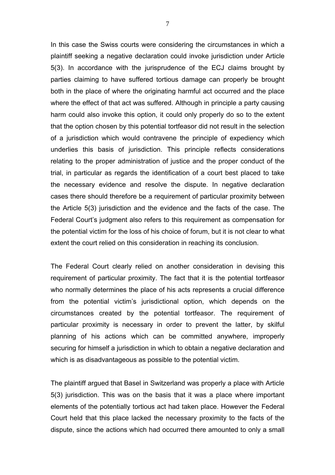In this case the Swiss courts were considering the circumstances in which a plaintiff seeking a negative declaration could invoke jurisdiction under Article 5(3). In accordance with the jurisprudence of the ECJ claims brought by parties claiming to have suffered tortious damage can properly be brought both in the place of where the originating harmful act occurred and the place where the effect of that act was suffered. Although in principle a party causing harm could also invoke this option, it could only properly do so to the extent that the option chosen by this potential tortfeasor did not result in the selection of a jurisdiction which would contravene the principle of expediency which underlies this basis of jurisdiction. This principle reflects considerations relating to the proper administration of justice and the proper conduct of the trial, in particular as regards the identification of a court best placed to take the necessary evidence and resolve the dispute. In negative declaration cases there should therefore be a requirement of particular proximity between the Article 5(3) jurisdiction and the evidence and the facts of the case. The Federal Court's judgment also refers to this requirement as compensation for the potential victim for the loss of his choice of forum, but it is not clear to what extent the court relied on this consideration in reaching its conclusion.

The Federal Court clearly relied on another consideration in devising this requirement of particular proximity. The fact that it is the potential tortfeasor who normally determines the place of his acts represents a crucial difference from the potential victim's jurisdictional option, which depends on the circumstances created by the potential tortfeasor. The requirement of particular proximity is necessary in order to prevent the latter, by skilful planning of his actions which can be committed anywhere, improperly securing for himself a jurisdiction in which to obtain a negative declaration and which is as disadvantageous as possible to the potential victim.

The plaintiff argued that Basel in Switzerland was properly a place with Article 5(3) jurisdiction. This was on the basis that it was a place where important elements of the potentially tortious act had taken place. However the Federal Court held that this place lacked the necessary proximity to the facts of the dispute, since the actions which had occurred there amounted to only a small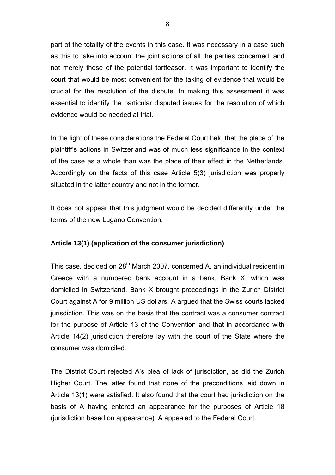part of the totality of the events in this case. It was necessary in a case such as this to take into account the joint actions of all the parties concerned, and not merely those of the potential tortfeasor. It was important to identify the court that would be most convenient for the taking of evidence that would be crucial for the resolution of the dispute. In making this assessment it was essential to identify the particular disputed issues for the resolution of which evidence would be needed at trial.

In the light of these considerations the Federal Court held that the place of the plaintiff's actions in Switzerland was of much less significance in the context of the case as a whole than was the place of their effect in the Netherlands. Accordingly on the facts of this case Article 5(3) jurisdiction was properly situated in the latter country and not in the former.

It does not appear that this judgment would be decided differently under the terms of the new Lugano Convention.

### **Article 13(1) (application of the consumer jurisdiction)**

This case, decided on 28<sup>th</sup> March 2007, concerned A, an individual resident in Greece with a numbered bank account in a bank, Bank X, which was domiciled in Switzerland. Bank X brought proceedings in the Zurich District Court against A for 9 million US dollars. A argued that the Swiss courts lacked jurisdiction. This was on the basis that the contract was a consumer contract for the purpose of Article 13 of the Convention and that in accordance with Article 14(2) jurisdiction therefore lay with the court of the State where the consumer was domiciled.

The District Court rejected A's plea of lack of jurisdiction, as did the Zurich Higher Court. The latter found that none of the preconditions laid down in Article 13(1) were satisfied. It also found that the court had jurisdiction on the basis of A having entered an appearance for the purposes of Article 18 (jurisdiction based on appearance). A appealed to the Federal Court.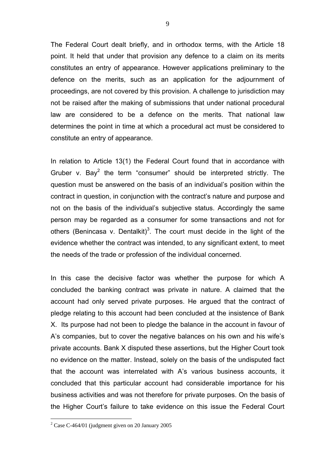The Federal Court dealt briefly, and in orthodox terms, with the Article 18 point. It held that under that provision any defence to a claim on its merits constitutes an entry of appearance. However applications preliminary to the defence on the merits, such as an application for the adjournment of proceedings, are not covered by this provision. A challenge to jurisdiction may not be raised after the making of submissions that under national procedural law are considered to be a defence on the merits. That national law determines the point in time at which a procedural act must be considered to constitute an entry of appearance.

In relation to Article 13(1) the Federal Court found that in accordance with Gruber v. Bay<sup>2</sup> the term "consumer" should be interpreted strictly. The question must be answered on the basis of an individual's position within the contract in question, in conjunction with the contract's nature and purpose and not on the basis of the individual's subjective status. Accordingly the same person may be regarded as a consumer for some transactions and not for others (Benincasa v. Dentalkit)<sup>3</sup>. The court must decide in the light of the evidence whether the contract was intended, to any significant extent, to meet the needs of the trade or profession of the individual concerned.

In this case the decisive factor was whether the purpose for which A concluded the banking contract was private in nature. A claimed that the account had only served private purposes. He argued that the contract of pledge relating to this account had been concluded at the insistence of Bank X. Its purpose had not been to pledge the balance in the account in favour of A's companies, but to cover the negative balances on his own and his wife's private accounts. Bank X disputed these assertions, but the Higher Court took no evidence on the matter. Instead, solely on the basis of the undisputed fact that the account was interrelated with A's various business accounts, it concluded that this particular account had considerable importance for his business activities and was not therefore for private purposes. On the basis of the Higher Court's failure to take evidence on this issue the Federal Court

<sup>&</sup>lt;sup>2</sup> Case C-464/01 (judgment given on 20 January 2005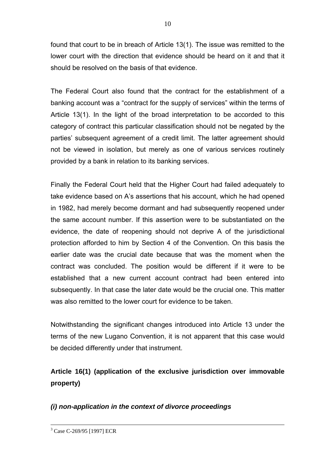found that court to be in breach of Article 13(1). The issue was remitted to the lower court with the direction that evidence should be heard on it and that it should be resolved on the basis of that evidence.

The Federal Court also found that the contract for the establishment of a banking account was a "contract for the supply of services" within the terms of Article 13(1). In the light of the broad interpretation to be accorded to this category of contract this particular classification should not be negated by the parties' subsequent agreement of a credit limit. The latter agreement should not be viewed in isolation, but merely as one of various services routinely provided by a bank in relation to its banking services.

Finally the Federal Court held that the Higher Court had failed adequately to take evidence based on A's assertions that his account, which he had opened in 1982, had merely become dormant and had subsequently reopened under the same account number. If this assertion were to be substantiated on the evidence, the date of reopening should not deprive A of the jurisdictional protection afforded to him by Section 4 of the Convention. On this basis the earlier date was the crucial date because that was the moment when the contract was concluded. The position would be different if it were to be established that a new current account contract had been entered into subsequently. In that case the later date would be the crucial one. This matter was also remitted to the lower court for evidence to be taken.

Notwithstanding the significant changes introduced into Article 13 under the terms of the new Lugano Convention, it is not apparent that this case would be decided differently under that instrument.

**Article 16(1) (application of the exclusive jurisdiction over immovable property)** 

## *(i) non-application in the context of divorce proceedings*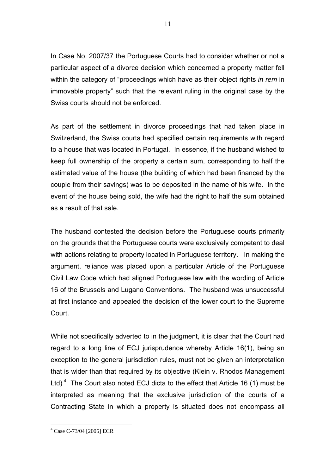In Case No. 2007/37 the Portuguese Courts had to consider whether or not a particular aspect of a divorce decision which concerned a property matter fell within the category of "proceedings which have as their object rights *in rem* in immovable property" such that the relevant ruling in the original case by the Swiss courts should not be enforced.

As part of the settlement in divorce proceedings that had taken place in Switzerland, the Swiss courts had specified certain requirements with regard to a house that was located in Portugal. In essence, if the husband wished to keep full ownership of the property a certain sum, corresponding to half the estimated value of the house (the building of which had been financed by the couple from their savings) was to be deposited in the name of his wife. In the event of the house being sold, the wife had the right to half the sum obtained as a result of that sale.

The husband contested the decision before the Portuguese courts primarily on the grounds that the Portuguese courts were exclusively competent to deal with actions relating to property located in Portuguese territory. In making the argument, reliance was placed upon a particular Article of the Portuguese Civil Law Code which had aligned Portuguese law with the wording of Article 16 of the Brussels and Lugano Conventions. The husband was unsuccessful at first instance and appealed the decision of the lower court to the Supreme Court.

While not specifically adverted to in the judgment, it is clear that the Court had regard to a long line of ECJ jurisprudence whereby Article 16(1), being an exception to the general jurisdiction rules, must not be given an interpretation that is wider than that required by its objective (Klein v. Rhodos Management Ltd)<sup>4</sup> The Court also noted ECJ dicta to the effect that Article 16 (1) must be interpreted as meaning that the exclusive jurisdiction of the courts of a Contracting State in which a property is situated does not encompass all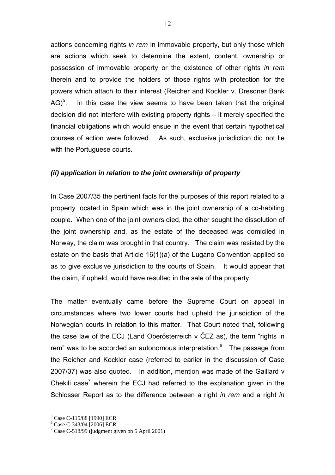actions concerning rights *in rem* in immovable property, but only those which are actions which seek to determine the extent, content, ownership or possession of immovable property or the existence of other rights *in rem* therein and to provide the holders of those rights with protection for the powers which attach to their interest (Reicher and Kockler v. Dresdner Bank  $AG$ <sup>5</sup>. . In this case the view seems to have been taken that the original decision did not interfere with existing property rights – it merely specified the financial obligations which would ensue in the event that certain hypothetical courses of action were followed. As such, exclusive jurisdiction did not lie with the Portuguese courts.

#### *(ii) application in relation to the joint ownership of property*

In Case 2007/35 the pertinent facts for the purposes of this report related to a property located in Spain which was in the joint ownership of a co-habiting couple. When one of the joint owners died, the other sought the dissolution of the joint ownership and, as the estate of the deceased was domiciled in Norway, the claim was brought in that country. The claim was resisted by the estate on the basis that Article 16(1)(a) of the Lugano Convention applied so as to give exclusive jurisdiction to the courts of Spain. It would appear that the claim, if upheld, would have resulted in the sale of the property.

The matter eventually came before the Supreme Court on appeal in circumstances where two lower courts had upheld the jurisdiction of the Norwegian courts in relation to this matter. That Court noted that, following the case law of the ECJ (Land Oberösterreich v ČEZ as), the term "rights in rem" was to be accorded an autonomous interpretation.<sup>6</sup> The passage from the Reicher and Kockler case (referred to earlier in the discussion of Case 2007/37) was also quoted. In addition, mention was made of the Gaillard v Chekili case<sup>7</sup> wherein the ECJ had referred to the explanation given in the Schlosser Report as to the difference between a right *in rem* and a right *in* 

<sup>5</sup> Case C-115/88 [1990] ECR

<sup>6</sup> Case C-343/04 [2006] ECR

 $7 \text{ Case C-518/99}$  (judgment given on 5 April 2001)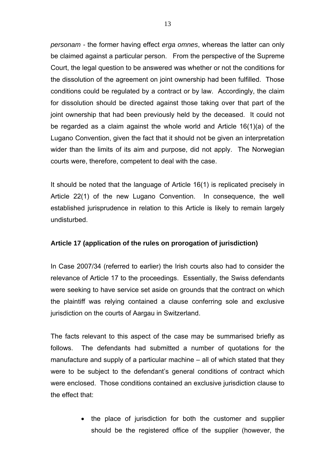*personam -* the former having effect *erga omnes*, whereas the latter can only be claimed against a particular person. From the perspective of the Supreme Court, the legal question to be answered was whether or not the conditions for the dissolution of the agreement on joint ownership had been fulfilled. Those conditions could be regulated by a contract or by law. Accordingly, the claim for dissolution should be directed against those taking over that part of the joint ownership that had been previously held by the deceased. It could not be regarded as a claim against the whole world and Article 16(1)(a) of the Lugano Convention, given the fact that it should not be given an interpretation wider than the limits of its aim and purpose, did not apply. The Norwegian courts were, therefore, competent to deal with the case.

It should be noted that the language of Article 16(1) is replicated precisely in Article 22(1) of the new Lugano Convention. In consequence, the well established jurisprudence in relation to this Article is likely to remain largely undisturbed.

### **Article 17 (application of the rules on prorogation of jurisdiction)**

In Case 2007/34 (referred to earlier) the Irish courts also had to consider the relevance of Article 17 to the proceedings. Essentially, the Swiss defendants were seeking to have service set aside on grounds that the contract on which the plaintiff was relying contained a clause conferring sole and exclusive jurisdiction on the courts of Aargau in Switzerland.

The facts relevant to this aspect of the case may be summarised briefly as follows. The defendants had submitted a number of quotations for the manufacture and supply of a particular machine – all of which stated that they were to be subject to the defendant's general conditions of contract which were enclosed. Those conditions contained an exclusive jurisdiction clause to the effect that:

> • the place of jurisdiction for both the customer and supplier should be the registered office of the supplier (however, the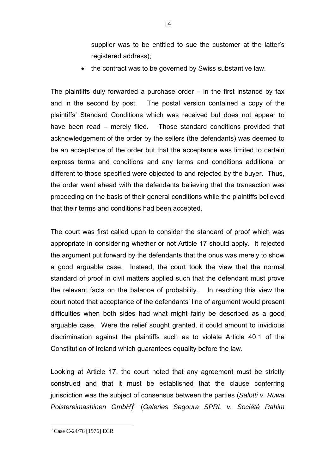supplier was to be entitled to sue the customer at the latter's registered address);

• the contract was to be governed by Swiss substantive law.

The plaintiffs duly forwarded a purchase order  $-$  in the first instance by fax and in the second by post. The postal version contained a copy of the plaintiffs' Standard Conditions which was received but does not appear to have been read – merely filed. Those standard conditions provided that acknowledgement of the order by the sellers (the defendants) was deemed to be an acceptance of the order but that the acceptance was limited to certain express terms and conditions and any terms and conditions additional or different to those specified were objected to and rejected by the buyer. Thus, the order went ahead with the defendants believing that the transaction was proceeding on the basis of their general conditions while the plaintiffs believed that their terms and conditions had been accepted.

The court was first called upon to consider the standard of proof which was appropriate in considering whether or not Article 17 should apply. It rejected the argument put forward by the defendants that the onus was merely to show a good arguable case. Instead, the court took the view that the normal standard of proof in civil matters applied such that the defendant must prove the relevant facts on the balance of probability. In reaching this view the court noted that acceptance of the defendants' line of argument would present difficulties when both sides had what might fairly be described as a good arguable case. Were the relief sought granted, it could amount to invidious discrimination against the plaintiffs such as to violate Article 40.1 of the Constitution of Ireland which guarantees equality before the law.

Looking at Article 17, the court noted that any agreement must be strictly construed and that it must be established that the clause conferring jurisdiction was the subject of consensus between the parties (*Salotti v. Rüwa Polstereimashinen GmbH*) 8 (*Galeries Segoura SPRL v. Société Rahim* 

 8 Case C-24/76 [1976] ECR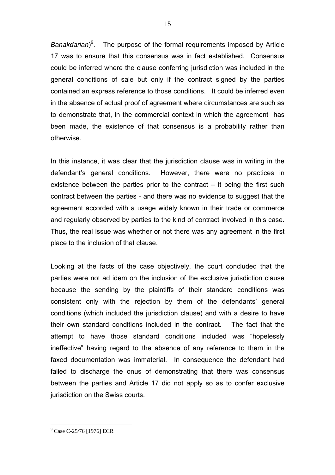Banakdarian)<sup>9</sup>. The purpose of the formal requirements imposed by Article 17 was to ensure that this consensus was in fact established. Consensus could be inferred where the clause conferring jurisdiction was included in the general conditions of sale but only if the contract signed by the parties contained an express reference to those conditions. It could be inferred even in the absence of actual proof of agreement where circumstances are such as to demonstrate that, in the commercial context in which the agreement has been made, the existence of that consensus is a probability rather than otherwise.

In this instance, it was clear that the jurisdiction clause was in writing in the defendant's general conditions. However, there were no practices in existence between the parties prior to the contract – it being the first such contract between the parties - and there was no evidence to suggest that the agreement accorded with a usage widely known in their trade or commerce and regularly observed by parties to the kind of contract involved in this case. Thus, the real issue was whether or not there was any agreement in the first place to the inclusion of that clause.

Looking at the facts of the case objectively, the court concluded that the parties were not ad idem on the inclusion of the exclusive jurisdiction clause because the sending by the plaintiffs of their standard conditions was consistent only with the rejection by them of the defendants' general conditions (which included the jurisdiction clause) and with a desire to have their own standard conditions included in the contract. The fact that the attempt to have those standard conditions included was "hopelessly ineffective" having regard to the absence of any reference to them in the faxed documentation was immaterial. In consequence the defendant had failed to discharge the onus of demonstrating that there was consensus between the parties and Article 17 did not apply so as to confer exclusive jurisdiction on the Swiss courts.

<sup>&</sup>lt;sup>9</sup> Case C-25/76 [1976] ECR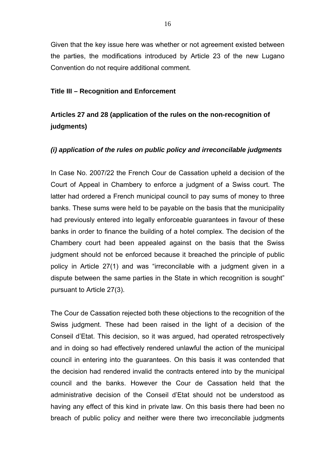Given that the key issue here was whether or not agreement existed between the parties, the modifications introduced by Article 23 of the new Lugano Convention do not require additional comment.

#### **Title III – Recognition and Enforcement**

## **Articles 27 and 28 (application of the rules on the non-recognition of judgments)**

### *(i) application of the rules on public policy and irreconcilable judgments*

In Case No. 2007/22 the French Cour de Cassation upheld a decision of the Court of Appeal in Chambery to enforce a judgment of a Swiss court. The latter had ordered a French municipal council to pay sums of money to three banks. These sums were held to be payable on the basis that the municipality had previously entered into legally enforceable guarantees in favour of these banks in order to finance the building of a hotel complex. The decision of the Chambery court had been appealed against on the basis that the Swiss judgment should not be enforced because it breached the principle of public policy in Article 27(1) and was "irreconcilable with a judgment given in a dispute between the same parties in the State in which recognition is sought" pursuant to Article 27(3).

The Cour de Cassation rejected both these objections to the recognition of the Swiss judgment. These had been raised in the light of a decision of the Conseil d'Etat. This decision, so it was argued, had operated retrospectively and in doing so had effectively rendered unlawful the action of the municipal council in entering into the guarantees. On this basis it was contended that the decision had rendered invalid the contracts entered into by the municipal council and the banks. However the Cour de Cassation held that the administrative decision of the Conseil d'Etat should not be understood as having any effect of this kind in private law. On this basis there had been no breach of public policy and neither were there two irreconcilable judgments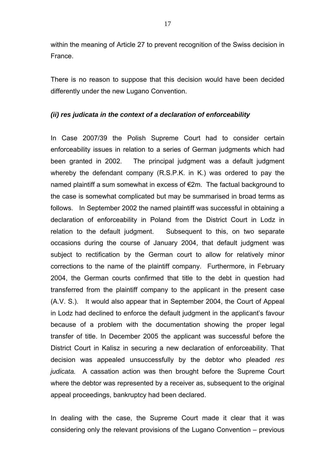within the meaning of Article 27 to prevent recognition of the Swiss decision in France.

There is no reason to suppose that this decision would have been decided differently under the new Lugano Convention.

### *(ii) res judicata in the context of a declaration of enforceability*

In Case 2007/39 the Polish Supreme Court had to consider certain enforceability issues in relation to a series of German judgments which had been granted in 2002. The principal judgment was a default judgment whereby the defendant company (R.S.P.K. in K.) was ordered to pay the named plaintiff a sum somewhat in excess of €2m. The factual background to the case is somewhat complicated but may be summarised in broad terms as follows. In September 2002 the named plaintiff was successful in obtaining a declaration of enforceability in Poland from the District Court in Lodz in relation to the default judgment. Subsequent to this, on two separate occasions during the course of January 2004, that default judgment was subject to rectification by the German court to allow for relatively minor corrections to the name of the plaintiff company. Furthermore, in February 2004, the German courts confirmed that title to the debt in question had transferred from the plaintiff company to the applicant in the present case (A.V. S.). It would also appear that in September 2004, the Court of Appeal in Lodz had declined to enforce the default judgment in the applicant's favour because of a problem with the documentation showing the proper legal transfer of title. In December 2005 the applicant was successful before the District Court in Kalisz in securing a new declaration of enforceability. That decision was appealed unsuccessfully by the debtor who pleaded *res judicata.* A cassation action was then brought before the Supreme Court where the debtor was represented by a receiver as, subsequent to the original appeal proceedings, bankruptcy had been declared.

In dealing with the case, the Supreme Court made it clear that it was considering only the relevant provisions of the Lugano Convention – previous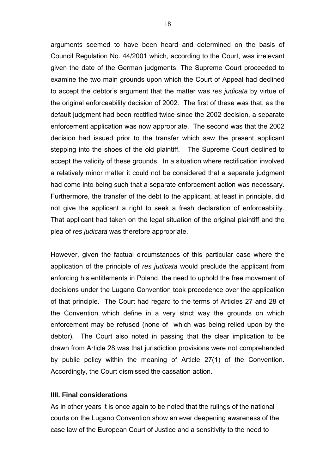arguments seemed to have been heard and determined on the basis of Council Regulation No. 44/2001 which, according to the Court, was irrelevant given the date of the German judgments. The Supreme Court proceeded to examine the two main grounds upon which the Court of Appeal had declined to accept the debtor's argument that the matter was *res judicata* by virtue of the original enforceability decision of 2002. The first of these was that, as the default judgment had been rectified twice since the 2002 decision, a separate enforcement application was now appropriate. The second was that the 2002 decision had issued prior to the transfer which saw the present applicant stepping into the shoes of the old plaintiff. The Supreme Court declined to accept the validity of these grounds. In a situation where rectification involved a relatively minor matter it could not be considered that a separate judgment had come into being such that a separate enforcement action was necessary. Furthermore, the transfer of the debt to the applicant, at least in principle, did not give the applicant a right to seek a fresh declaration of enforceability. That applicant had taken on the legal situation of the original plaintiff and the plea of *res judicata* was therefore appropriate.

However, given the factual circumstances of this particular case where the application of the principle of *res judicata* would preclude the applicant from enforcing his entitlements in Poland, the need to uphold the free movement of decisions under the Lugano Convention took precedence over the application of that principle. The Court had regard to the terms of Articles 27 and 28 of the Convention which define in a very strict way the grounds on which enforcement may be refused (none of which was being relied upon by the debtor). The Court also noted in passing that the clear implication to be drawn from Article 28 was that jurisdiction provisions were not comprehended by public policy within the meaning of Article 27(1) of the Convention. Accordingly, the Court dismissed the cassation action.

#### **IIII. Final considerations**

As in other years it is once again to be noted that the rulings of the national courts on the Lugano Convention show an ever deepening awareness of the case law of the European Court of Justice and a sensitivity to the need to